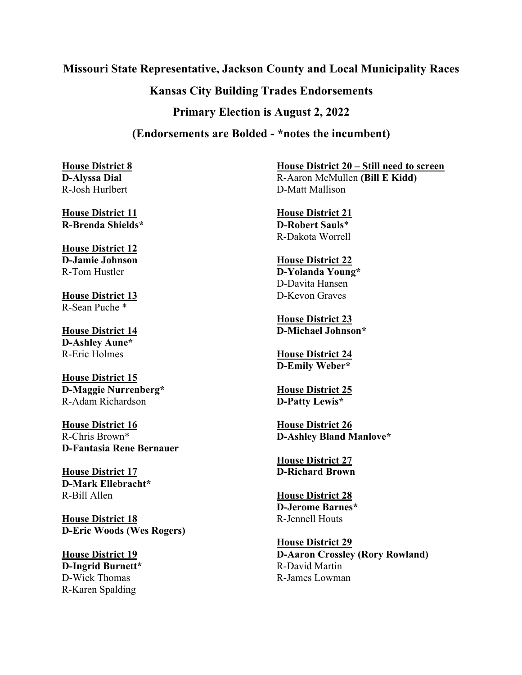### **Missouri State Representative, Jackson County and Local Municipality Races**

# **Kansas City Building Trades Endorsements**

**Primary Election is August 2, 2022**

# **(Endorsements are Bolded - \*notes the incumbent)**

**House District 8 D-Alyssa Dial** R-Josh Hurlbert

**House District 11 R-Brenda Shields\***

**House District 12 D-Jamie Johnson** R-Tom Hustler

**House District 13** R-Sean Puche \*

**House District 14 D-Ashley Aune\*** R-Eric Holmes

**House District 15 D-Maggie Nurrenberg\*** R-Adam Richardson

**House District 16** R-Chris Brown\* **D-Fantasia Rene Bernauer**

**House District 17 D-Mark Ellebracht\*** R-Bill Allen

**House District 18 D-Eric Woods (Wes Rogers)**

**House District 19 D-Ingrid Burnett\*** D-Wick Thomas R-Karen Spalding

**House District 20 – Still need to screen** R-Aaron McMullen **(Bill E Kidd)** D-Matt Mallison

**House District 21 D-Robert Sauls**\* R-Dakota Worrell

#### **House District 22 D-Yolanda Young\*** D-Davita Hansen D-Kevon Graves

**House District 23 D-Michael Johnson\***

**House District 24 D-Emily Weber\***

**House District 25 D-Patty Lewis\***

**House District 26 D-Ashley Bland Manlove\***

**House District 27 D-Richard Brown**

**House District 28 D-Jerome Barnes\*** R-Jennell Houts

**House District 29 D-Aaron Crossley (Rory Rowland)** R-David Martin R-James Lowman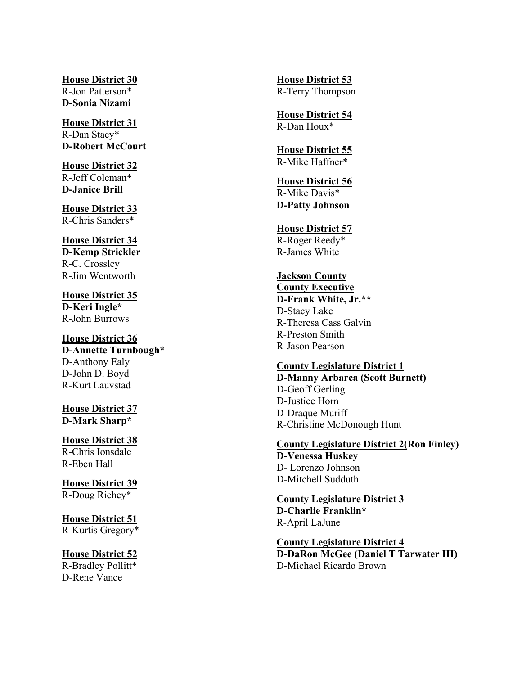**House District 30** R-Jon Patterson\* **D-Sonia Nizami**

**House District 31** R-Dan Stacy\* **D-Robert McCourt**

**House District 32** R-Jeff Coleman\* **D-Janice Brill** 

**House District 33** R-Chris Sanders\*

**House District 34 D-Kemp Strickler** R-C. Crossley R-Jim Wentworth

**House District 35 D-Keri Ingle\*** R-John Burrows

**House District 36 D-Annette Turnbough \*** D -Anthony Ealy D -John D. Boyd R -Kurt Lauvstad

**House District 37 D-Mark Sharp\***

**House District 38** R-Chris Ionsdale R-Eben Hall

**House District 3 9** R -Doug Richey\*

## **House District 51**

R-Kurtis Gregory\*

#### **House District 52**

R-Bradley Pollitt\* D-Rene Vance

**House District 53** R-Terry Thompson

**House District 54** R-Dan Houx\*

**House District 55** R-Mike Haffner\*

### **House District 5 6** R -Mike Davis\* **D -Patty Johnson**

**House District 5 7** R -Roger Reedy\* R -James White

### **Jackson County**

**County Executive D-Frank White, Jr.\*\*** D-Stacy Lake R-Theresa Cass Galvin R-Preston Smith R-Jason Pearson

#### **County Legislature District 1**

**D-Manny Arbarca (Scott Burnett)** D-Geoff Gerling D-Justice Horn D-Draque Muriff R-Christine McDonough Hunt

#### **County Legislature District 2 (Ron Finley ) D -Venessa Huskey**

D - Lorenzo Johnson D -Mitchell Sudduth

**County Legislature District 3 D-Charlie Franklin\*** R-April LaJune

**County Legislature District 4 D-DaRon McGee (Daniel T Tarwater III )** D -Michael Ricardo Brown